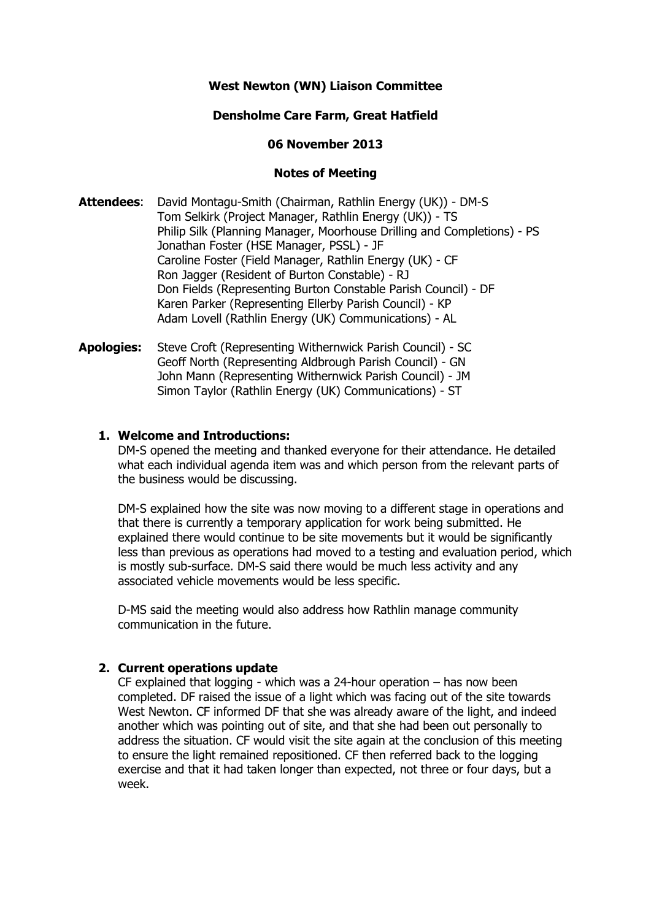# **West Newton (WN) Liaison Committee**

# **Densholme Care Farm, Great Hatfield**

### **06 November 2013**

## **Notes of Meeting**

- **Attendees**: David Montagu-Smith (Chairman, Rathlin Energy (UK)) DM-S Tom Selkirk (Project Manager, Rathlin Energy (UK)) - TS Philip Silk (Planning Manager, Moorhouse Drilling and Completions) - PS Jonathan Foster (HSE Manager, PSSL) - JF Caroline Foster (Field Manager, Rathlin Energy (UK) - CF Ron Jagger (Resident of Burton Constable) - RJ Don Fields (Representing Burton Constable Parish Council) - DF Karen Parker (Representing Ellerby Parish Council) - KP Adam Lovell (Rathlin Energy (UK) Communications) - AL
- **Apologies:** Steve Croft (Representing Withernwick Parish Council) SC Geoff North (Representing Aldbrough Parish Council) - GN John Mann (Representing Withernwick Parish Council) - JM Simon Taylor (Rathlin Energy (UK) Communications) - ST

### **1. Welcome and Introductions:**

DM-S opened the meeting and thanked everyone for their attendance. He detailed what each individual agenda item was and which person from the relevant parts of the business would be discussing.

DM-S explained how the site was now moving to a different stage in operations and that there is currently a temporary application for work being submitted. He explained there would continue to be site movements but it would be significantly less than previous as operations had moved to a testing and evaluation period, which is mostly sub-surface. DM-S said there would be much less activity and any associated vehicle movements would be less specific.

D-MS said the meeting would also address how Rathlin manage community communication in the future.

## **2. Current operations update**

CF explained that logging - which was a 24-hour operation – has now been completed. DF raised the issue of a light which was facing out of the site towards West Newton. CF informed DF that she was already aware of the light, and indeed another which was pointing out of site, and that she had been out personally to address the situation. CF would visit the site again at the conclusion of this meeting to ensure the light remained repositioned. CF then referred back to the logging exercise and that it had taken longer than expected, not three or four days, but a week.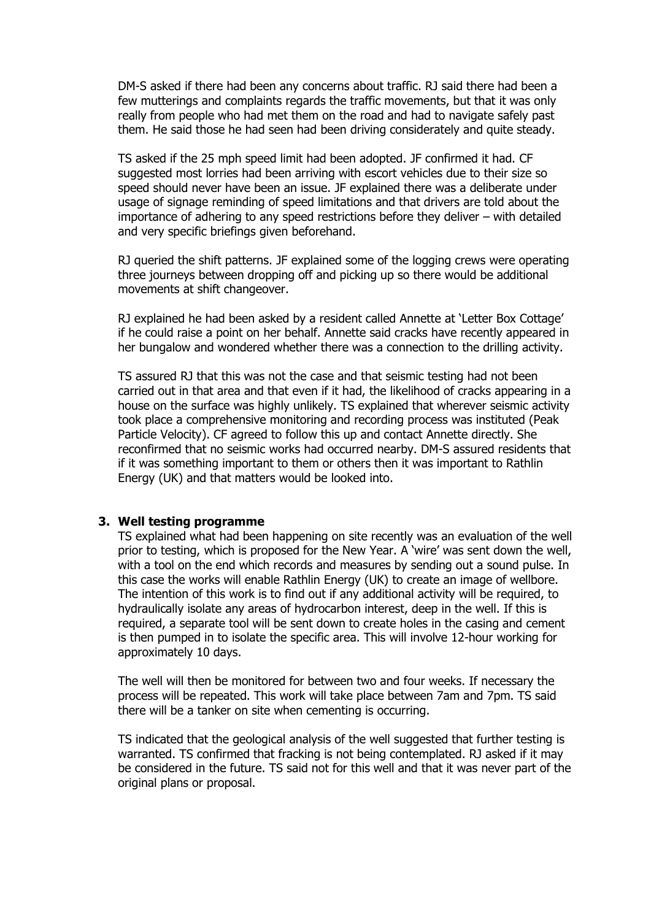DM-S asked if there had been any concerns about traffic. RJ said there had been a few mutterings and complaints regards the traffic movements, but that it was only really from people who had met them on the road and had to navigate safely past them. He said those he had seen had been driving considerately and quite steady.

TS asked if the 25 mph speed limit had been adopted. JF confirmed it had. CF suggested most lorries had been arriving with escort vehicles due to their size so speed should never have been an issue. JF explained there was a deliberate under usage of signage reminding of speed limitations and that drivers are told about the importance of adhering to any speed restrictions before they deliver – with detailed and very specific briefings given beforehand.

RJ queried the shift patterns. JF explained some of the logging crews were operating three journeys between dropping off and picking up so there would be additional movements at shift changeover.

RJ explained he had been asked by a resident called Annette at 'Letter Box Cottage' if he could raise a point on her behalf. Annette said cracks have recently appeared in her bungalow and wondered whether there was a connection to the drilling activity.

TS assured RJ that this was not the case and that seismic testing had not been carried out in that area and that even if it had, the likelihood of cracks appearing in a house on the surface was highly unlikely. TS explained that wherever seismic activity took place a comprehensive monitoring and recording process was instituted (Peak Particle Velocity). CF agreed to follow this up and contact Annette directly. She reconfirmed that no seismic works had occurred nearby. DM-S assured residents that if it was something important to them or others then it was important to Rathlin Energy (UK) and that matters would be looked into.

#### **3. Well testing programme**

TS explained what had been happening on site recently was an evaluation of the well prior to testing, which is proposed for the New Year. A 'wire' was sent down the well, with a tool on the end which records and measures by sending out a sound pulse. In this case the works will enable Rathlin Energy (UK) to create an image of wellbore. The intention of this work is to find out if any additional activity will be required, to hydraulically isolate any areas of hydrocarbon interest, deep in the well. If this is required, a separate tool will be sent down to create holes in the casing and cement is then pumped in to isolate the specific area. This will involve 12-hour working for approximately 10 days.

The well will then be monitored for between two and four weeks. If necessary the process will be repeated. This work will take place between 7am and 7pm. TS said there will be a tanker on site when cementing is occurring.

TS indicated that the geological analysis of the well suggested that further testing is warranted. TS confirmed that fracking is not being contemplated. RJ asked if it may be considered in the future. TS said not for this well and that it was never part of the original plans or proposal.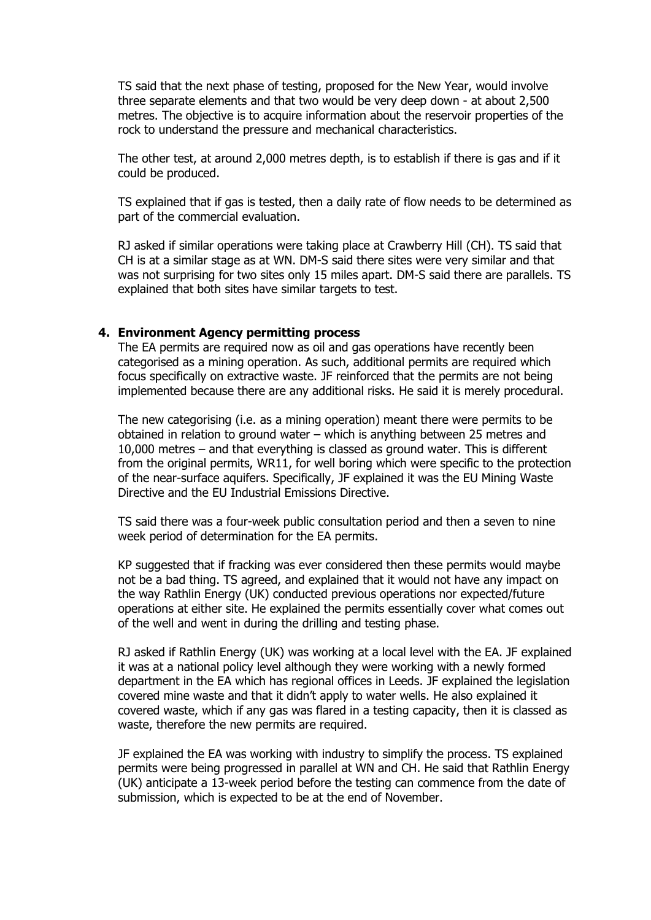TS said that the next phase of testing, proposed for the New Year, would involve three separate elements and that two would be very deep down - at about 2,500 metres. The objective is to acquire information about the reservoir properties of the rock to understand the pressure and mechanical characteristics.

The other test, at around 2,000 metres depth, is to establish if there is gas and if it could be produced.

TS explained that if gas is tested, then a daily rate of flow needs to be determined as part of the commercial evaluation.

RJ asked if similar operations were taking place at Crawberry Hill (CH). TS said that CH is at a similar stage as at WN. DM-S said there sites were very similar and that was not surprising for two sites only 15 miles apart. DM-S said there are parallels. TS explained that both sites have similar targets to test.

#### **4. Environment Agency permitting process**

The EA permits are required now as oil and gas operations have recently been categorised as a mining operation. As such, additional permits are required which focus specifically on extractive waste. JF reinforced that the permits are not being implemented because there are any additional risks. He said it is merely procedural.

The new categorising (i.e. as a mining operation) meant there were permits to be obtained in relation to ground water – which is anything between 25 metres and 10,000 metres – and that everything is classed as ground water. This is different from the original permits, WR11, for well boring which were specific to the protection of the near-surface aquifers. Specifically, JF explained it was the EU Mining Waste Directive and the EU Industrial Emissions Directive.

TS said there was a four-week public consultation period and then a seven to nine week period of determination for the EA permits.

KP suggested that if fracking was ever considered then these permits would maybe not be a bad thing. TS agreed, and explained that it would not have any impact on the way Rathlin Energy (UK) conducted previous operations nor expected/future operations at either site. He explained the permits essentially cover what comes out of the well and went in during the drilling and testing phase.

RJ asked if Rathlin Energy (UK) was working at a local level with the EA. JF explained it was at a national policy level although they were working with a newly formed department in the EA which has regional offices in Leeds. JF explained the legislation covered mine waste and that it didn't apply to water wells. He also explained it covered waste, which if any gas was flared in a testing capacity, then it is classed as waste, therefore the new permits are required.

JF explained the EA was working with industry to simplify the process. TS explained permits were being progressed in parallel at WN and CH. He said that Rathlin Energy (UK) anticipate a 13-week period before the testing can commence from the date of submission, which is expected to be at the end of November.